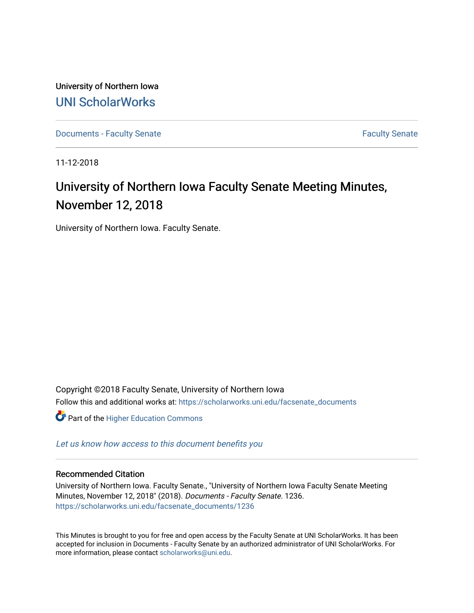University of Northern Iowa [UNI ScholarWorks](https://scholarworks.uni.edu/) 

[Documents - Faculty Senate](https://scholarworks.uni.edu/facsenate_documents) [Faculty Senate](https://scholarworks.uni.edu/facsenate) Faculty Senate

11-12-2018

# University of Northern Iowa Faculty Senate Meeting Minutes, November 12, 2018

University of Northern Iowa. Faculty Senate.

Copyright ©2018 Faculty Senate, University of Northern Iowa Follow this and additional works at: [https://scholarworks.uni.edu/facsenate\\_documents](https://scholarworks.uni.edu/facsenate_documents?utm_source=scholarworks.uni.edu%2Ffacsenate_documents%2F1236&utm_medium=PDF&utm_campaign=PDFCoverPages)  **Part of the Higher Education Commons** 

[Let us know how access to this document benefits you](https://scholarworks.uni.edu/feedback_form.html) 

#### Recommended Citation

University of Northern Iowa. Faculty Senate., "University of Northern Iowa Faculty Senate Meeting Minutes, November 12, 2018" (2018). Documents - Faculty Senate. 1236. [https://scholarworks.uni.edu/facsenate\\_documents/1236](https://scholarworks.uni.edu/facsenate_documents/1236?utm_source=scholarworks.uni.edu%2Ffacsenate_documents%2F1236&utm_medium=PDF&utm_campaign=PDFCoverPages) 

This Minutes is brought to you for free and open access by the Faculty Senate at UNI ScholarWorks. It has been accepted for inclusion in Documents - Faculty Senate by an authorized administrator of UNI ScholarWorks. For more information, please contact [scholarworks@uni.edu.](mailto:scholarworks@uni.edu)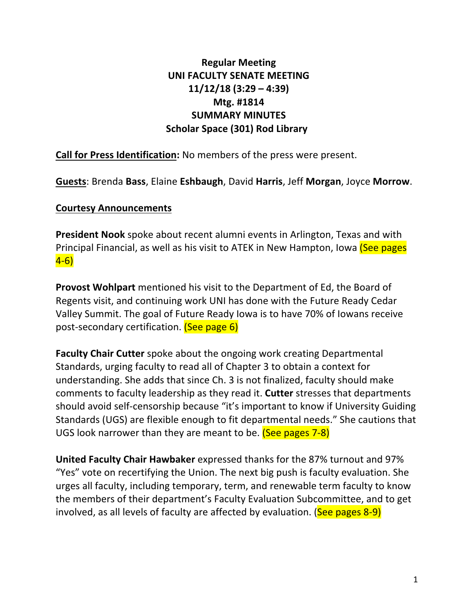## **Regular Meeting UNI FACULTY SENATE MEETING 11/12/18 (3:29 – 4:39) Mtg. #1814 SUMMARY MINUTES Scholar Space (301) Rod Library**

**Call for Press Identification:** No members of the press were present.

**Guests: Brenda Bass, Elaine Eshbaugh, David Harris, Jeff Morgan, Joyce Morrow.** 

#### **Courtesy Announcements**

**President Nook** spoke about recent alumni events in Arlington, Texas and with Principal Financial, as well as his visit to ATEK in New Hampton, Iowa (See pages 4-6)

**Provost Wohlpart** mentioned his visit to the Department of Ed, the Board of Regents visit, and continuing work UNI has done with the Future Ready Cedar Valley Summit. The goal of Future Ready Iowa is to have 70% of Iowans receive post-secondary certification. (See page 6)

**Faculty Chair Cutter** spoke about the ongoing work creating Departmental Standards, urging faculty to read all of Chapter 3 to obtain a context for understanding. She adds that since Ch. 3 is not finalized, faculty should make comments to faculty leadership as they read it. **Cutter** stresses that departments should avoid self-censorship because "it's important to know if University Guiding Standards (UGS) are flexible enough to fit departmental needs." She cautions that UGS look narrower than they are meant to be. (See pages 7-8)

**United Faculty Chair Hawbaker** expressed thanks for the 87% turnout and 97% "Yes" vote on recertifying the Union. The next big push is faculty evaluation. She urges all faculty, including temporary, term, and renewable term faculty to know the members of their department's Faculty Evaluation Subcommittee, and to get involved, as all levels of faculty are affected by evaluation. (See pages  $8-9$ )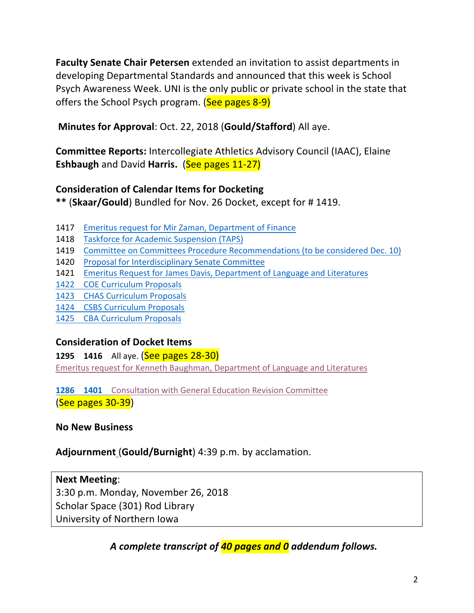**Faculty Senate Chair Petersen** extended an invitation to assist departments in developing Departmental Standards and announced that this week is School Psych Awareness Week. UNI is the only public or private school in the state that offers the School Psych program. (See pages 8-9)

**Minutes for Approval:** Oct. 22, 2018 (**Gould/Stafford**) All aye.

**Committee Reports:** Intercollegiate Athletics Advisory Council (IAAC), Elaine **Eshbaugh** and David Harris. (See pages 11-27)

## **Consideration of Calendar Items for Docketing**

\*\* (Skaar/Gould) Bundled for Nov. 26 Docket, except for #1419.

- 1417 Emeritus request for Mir Zaman, Department of Finance
- 1418 Taskforce for Academic Suspension (TAPS)
- 1419 Committee on Committees Procedure Recommendations (to be considered Dec. 10)
- 1420 Proposal for Interdisciplinary Senate Committee
- 1421 Emeritus Request for James Davis, Department of Language and Literatures
- 1422 COE Curriculum Proposals
- 1423 CHAS Curriculum Proposals
- 1424 CSBS Curriculum Proposals
- 1425 CBA Curriculum Proposals

## **Consideration of Docket Items**

**1295 1416** All aye. (See pages 28-30) Emeritus request for Kenneth Baughman, Department of Language and Literatures

**1286 1401** Consultation with General Education Revision Committee (See pages 30-39)

## **No New Business**

## Adjournment (Gould/Burnight) 4:39 p.m. by acclamation.

#### **Next Meeting**:

3:30 p.m. Monday, November 26, 2018 Scholar Space (301) Rod Library University of Northern lowa

A complete transcript of **40 pages and 0** addendum follows.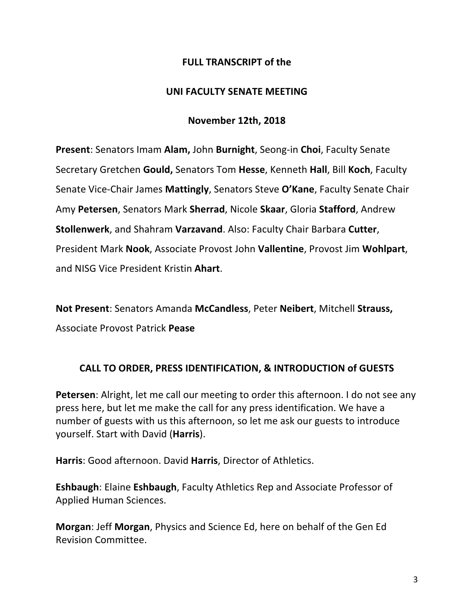#### **FULL TRANSCRIPT of the**

#### **UNI FACULTY SENATE MEETING**

#### **November 12th, 2018**

**Present:** Senators Imam Alam, John Burnight, Seong-in Choi, Faculty Senate Secretary Gretchen **Gould,** Senators Tom **Hesse**, Kenneth **Hall**, Bill **Koch**, Faculty Senate Vice-Chair James Mattingly, Senators Steve O'Kane, Faculty Senate Chair Amy **Petersen**, Senators Mark **Sherrad**, Nicole **Skaar**, Gloria **Stafford**, Andrew **Stollenwerk**, and Shahram **Varzavand**. Also: Faculty Chair Barbara Cutter, President Mark Nook, Associate Provost John Vallentine, Provost Jim Wohlpart, and NISG Vice President Kristin **Ahart**.

**Not Present:** Senators Amanda McCandless, Peter Neibert, Mitchell Strauss, Associate Provost Patrick **Pease**

## **CALL TO ORDER, PRESS IDENTIFICATION, & INTRODUCTION of GUESTS**

**Petersen**: Alright, let me call our meeting to order this afternoon. I do not see any press here, but let me make the call for any press identification. We have a number of guests with us this afternoon, so let me ask our guests to introduce yourself. Start with David (**Harris**).

**Harris:** Good afternoon. David **Harris**, Director of Athletics.

**Eshbaugh:** Elaine **Eshbaugh**, Faculty Athletics Rep and Associate Professor of Applied Human Sciences.

**Morgan:** Jeff **Morgan**, Physics and Science Ed, here on behalf of the Gen Ed Revision Committee.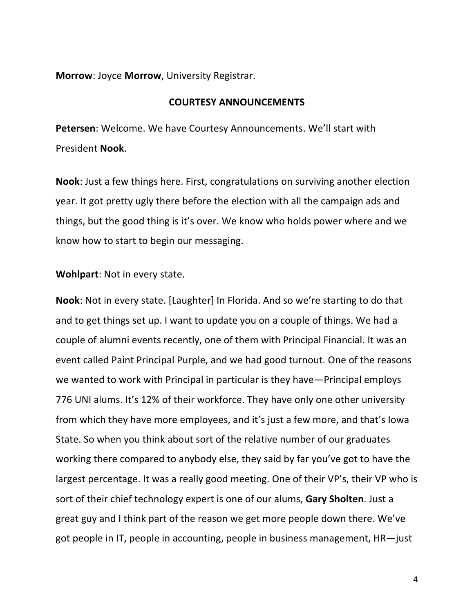**Morrow:** Joyce **Morrow**, University Registrar.

#### **COURTESY ANNOUNCEMENTS**

**Petersen:** Welcome. We have Courtesy Announcements. We'll start with President **Nook**.

**Nook**: Just a few things here. First, congratulations on surviving another election year. It got pretty ugly there before the election with all the campaign ads and things, but the good thing is it's over. We know who holds power where and we know how to start to begin our messaging.

**Wohlpart:** Not in every state.

**Nook**: Not in every state. [Laughter] In Florida. And so we're starting to do that and to get things set up. I want to update you on a couple of things. We had a couple of alumni events recently, one of them with Principal Financial. It was an event called Paint Principal Purple, and we had good turnout. One of the reasons we wanted to work with Principal in particular is they have—Principal employs 776 UNI alums. It's 12% of their workforce. They have only one other university from which they have more employees, and it's just a few more, and that's lowa State. So when you think about sort of the relative number of our graduates working there compared to anybody else, they said by far you've got to have the largest percentage. It was a really good meeting. One of their VP's, their VP who is sort of their chief technology expert is one of our alums, Gary Sholten. Just a great guy and I think part of the reason we get more people down there. We've got people in IT, people in accounting, people in business management,  $HR$ —just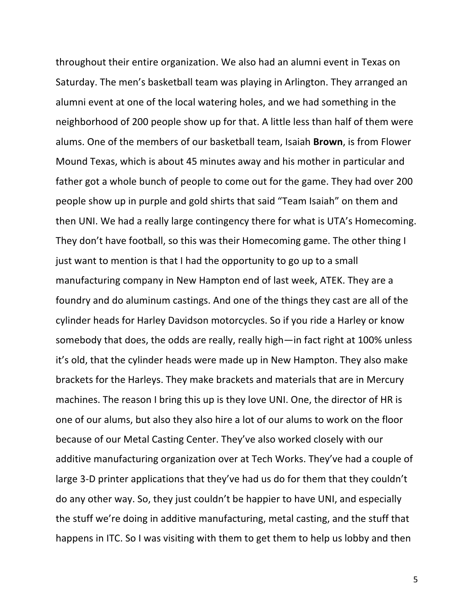throughout their entire organization. We also had an alumni event in Texas on Saturday. The men's basketball team was playing in Arlington. They arranged an alumni event at one of the local watering holes, and we had something in the neighborhood of 200 people show up for that. A little less than half of them were alums. One of the members of our basketball team, Isaiah **Brown**, is from Flower Mound Texas, which is about 45 minutes away and his mother in particular and father got a whole bunch of people to come out for the game. They had over 200 people show up in purple and gold shirts that said "Team Isaiah" on them and then UNI. We had a really large contingency there for what is UTA's Homecoming. They don't have football, so this was their Homecoming game. The other thing I just want to mention is that I had the opportunity to go up to a small manufacturing company in New Hampton end of last week, ATEK. They are a foundry and do aluminum castings. And one of the things they cast are all of the cylinder heads for Harley Davidson motorcycles. So if you ride a Harley or know somebody that does, the odds are really, really high—in fact right at 100% unless it's old, that the cylinder heads were made up in New Hampton. They also make brackets for the Harleys. They make brackets and materials that are in Mercury machines. The reason I bring this up is they love UNI. One, the director of HR is one of our alums, but also they also hire a lot of our alums to work on the floor because of our Metal Casting Center. They've also worked closely with our additive manufacturing organization over at Tech Works. They've had a couple of large 3-D printer applications that they've had us do for them that they couldn't do any other way. So, they just couldn't be happier to have UNI, and especially the stuff we're doing in additive manufacturing, metal casting, and the stuff that happens in ITC. So I was visiting with them to get them to help us lobby and then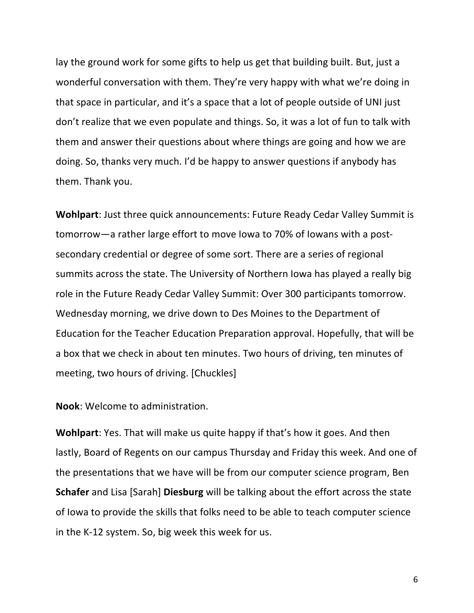lay the ground work for some gifts to help us get that building built. But, just a wonderful conversation with them. They're very happy with what we're doing in that space in particular, and it's a space that a lot of people outside of UNI just don't realize that we even populate and things. So, it was a lot of fun to talk with them and answer their questions about where things are going and how we are doing. So, thanks very much. I'd be happy to answer questions if anybody has them. Thank you.

**Wohlpart:** Just three quick announcements: Future Ready Cedar Valley Summit is tomorrow—a rather large effort to move lowa to 70% of lowans with a postsecondary credential or degree of some sort. There are a series of regional summits across the state. The University of Northern lowa has played a really big role in the Future Ready Cedar Valley Summit: Over 300 participants tomorrow. Wednesday morning, we drive down to Des Moines to the Department of Education for the Teacher Education Preparation approval. Hopefully, that will be a box that we check in about ten minutes. Two hours of driving, ten minutes of meeting, two hours of driving. [Chuckles]

**Nook:** Welcome to administration.

**Wohlpart**: Yes. That will make us quite happy if that's how it goes. And then lastly, Board of Regents on our campus Thursday and Friday this week. And one of the presentations that we have will be from our computer science program, Ben **Schafer** and Lisa [Sarah] Diesburg will be talking about the effort across the state of lowa to provide the skills that folks need to be able to teach computer science in the K-12 system. So, big week this week for us.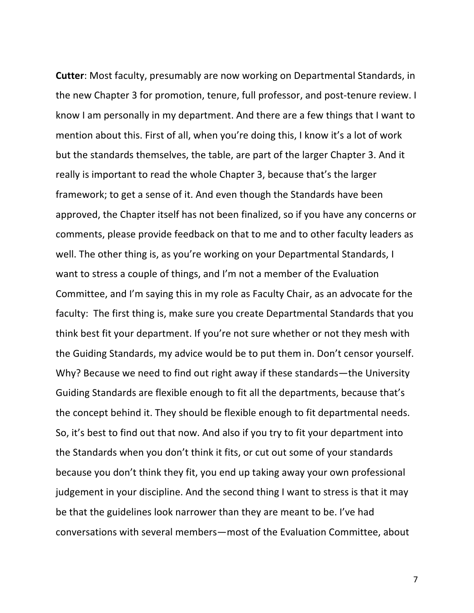**Cutter:** Most faculty, presumably are now working on Departmental Standards, in the new Chapter 3 for promotion, tenure, full professor, and post-tenure review. I know I am personally in my department. And there are a few things that I want to mention about this. First of all, when you're doing this, I know it's a lot of work but the standards themselves, the table, are part of the larger Chapter 3. And it really is important to read the whole Chapter 3, because that's the larger framework; to get a sense of it. And even though the Standards have been approved, the Chapter itself has not been finalized, so if you have any concerns or comments, please provide feedback on that to me and to other faculty leaders as well. The other thing is, as you're working on your Departmental Standards, I want to stress a couple of things, and I'm not a member of the Evaluation Committee, and I'm saying this in my role as Faculty Chair, as an advocate for the faculty: The first thing is, make sure you create Departmental Standards that you think best fit your department. If you're not sure whether or not they mesh with the Guiding Standards, my advice would be to put them in. Don't censor yourself. Why? Because we need to find out right away if these standards—the University Guiding Standards are flexible enough to fit all the departments, because that's the concept behind it. They should be flexible enough to fit departmental needs. So, it's best to find out that now. And also if you try to fit your department into the Standards when you don't think it fits, or cut out some of your standards because you don't think they fit, you end up taking away your own professional judgement in your discipline. And the second thing I want to stress is that it may be that the guidelines look narrower than they are meant to be. I've had conversations with several members—most of the Evaluation Committee, about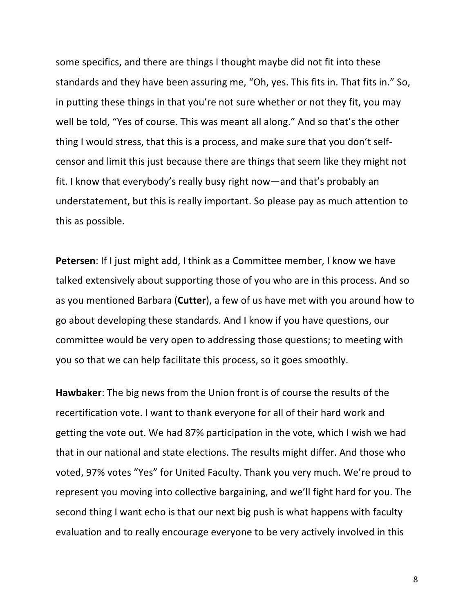some specifics, and there are things I thought maybe did not fit into these standards and they have been assuring me, "Oh, yes. This fits in. That fits in." So, in putting these things in that you're not sure whether or not they fit, you may well be told, "Yes of course. This was meant all along." And so that's the other thing I would stress, that this is a process, and make sure that you don't selfcensor and limit this just because there are things that seem like they might not fit. I know that everybody's really busy right now—and that's probably an understatement, but this is really important. So please pay as much attention to this as possible.

**Petersen**: If I just might add, I think as a Committee member, I know we have talked extensively about supporting those of you who are in this process. And so as you mentioned Barbara (Cutter), a few of us have met with you around how to go about developing these standards. And I know if you have questions, our committee would be very open to addressing those questions; to meeting with you so that we can help facilitate this process, so it goes smoothly.

**Hawbaker:** The big news from the Union front is of course the results of the recertification vote. I want to thank everyone for all of their hard work and getting the vote out. We had 87% participation in the vote, which I wish we had that in our national and state elections. The results might differ. And those who voted, 97% votes "Yes" for United Faculty. Thank you very much. We're proud to represent you moving into collective bargaining, and we'll fight hard for you. The second thing I want echo is that our next big push is what happens with faculty evaluation and to really encourage everyone to be very actively involved in this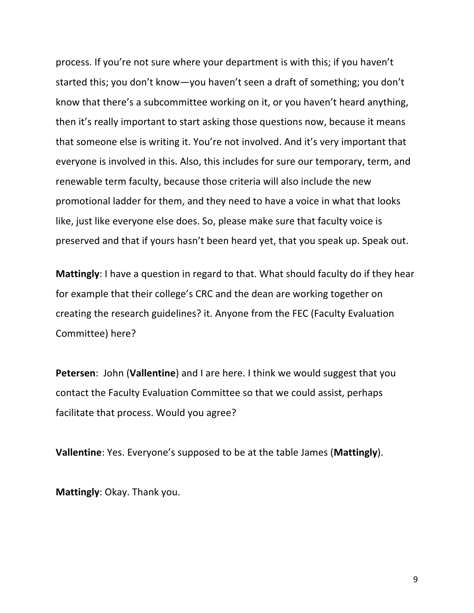process. If you're not sure where your department is with this; if you haven't started this; you don't know—you haven't seen a draft of something; you don't know that there's a subcommittee working on it, or you haven't heard anything, then it's really important to start asking those questions now, because it means that someone else is writing it. You're not involved. And it's very important that everyone is involved in this. Also, this includes for sure our temporary, term, and renewable term faculty, because those criteria will also include the new promotional ladder for them, and they need to have a voice in what that looks like, just like everyone else does. So, please make sure that faculty voice is preserved and that if yours hasn't been heard yet, that you speak up. Speak out.

**Mattingly**: I have a question in regard to that. What should faculty do if they hear for example that their college's CRC and the dean are working together on creating the research guidelines? it. Anyone from the FEC (Faculty Evaluation Committee) here?

**Petersen**: John (Vallentine) and I are here. I think we would suggest that you contact the Faculty Evaluation Committee so that we could assist, perhaps facilitate that process. Would you agree?

**Vallentine**: Yes. Everyone's supposed to be at the table James (Mattingly).

**Mattingly:** Okay. Thank you.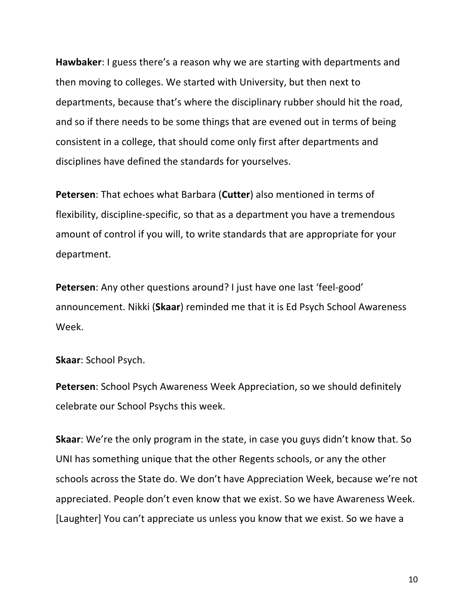**Hawbaker**: I guess there's a reason why we are starting with departments and then moving to colleges. We started with University, but then next to departments, because that's where the disciplinary rubber should hit the road, and so if there needs to be some things that are evened out in terms of being consistent in a college, that should come only first after departments and disciplines have defined the standards for yourselves.

**Petersen:** That echoes what Barbara (Cutter) also mentioned in terms of flexibility, discipline-specific, so that as a department you have a tremendous amount of control if you will, to write standards that are appropriate for your department.

**Petersen:** Any other questions around? I just have one last 'feel-good' announcement. Nikki (Skaar) reminded me that it is Ed Psych School Awareness Week.

**Skaar:** School Psych.

**Petersen**: School Psych Awareness Week Appreciation, so we should definitely celebrate our School Psychs this week.

**Skaar:** We're the only program in the state, in case you guys didn't know that. So UNI has something unique that the other Regents schools, or any the other schools across the State do. We don't have Appreciation Week, because we're not appreciated. People don't even know that we exist. So we have Awareness Week. [Laughter] You can't appreciate us unless you know that we exist. So we have a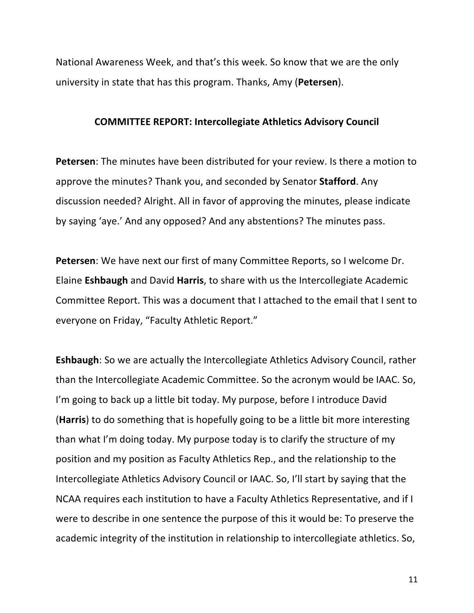National Awareness Week, and that's this week. So know that we are the only university in state that has this program. Thanks, Amy (**Petersen**).

#### **COMMITTEE REPORT: Intercollegiate Athletics Advisory Council**

**Petersen**: The minutes have been distributed for your review. Is there a motion to approve the minutes? Thank you, and seconded by Senator **Stafford**. Any discussion needed? Alright. All in favor of approving the minutes, please indicate by saying 'aye.' And any opposed? And any abstentions? The minutes pass.

**Petersen**: We have next our first of many Committee Reports, so I welcome Dr. Elaine **Eshbaugh** and David Harris, to share with us the Intercollegiate Academic Committee Report. This was a document that I attached to the email that I sent to everyone on Friday, "Faculty Athletic Report."

**Eshbaugh**: So we are actually the Intercollegiate Athletics Advisory Council, rather than the Intercollegiate Academic Committee. So the acronym would be IAAC. So, I'm going to back up a little bit today. My purpose, before I introduce David **(Harris)** to do something that is hopefully going to be a little bit more interesting than what I'm doing today. My purpose today is to clarify the structure of my position and my position as Faculty Athletics Rep., and the relationship to the Intercollegiate Athletics Advisory Council or IAAC. So, I'll start by saying that the NCAA requires each institution to have a Faculty Athletics Representative, and if I were to describe in one sentence the purpose of this it would be: To preserve the academic integrity of the institution in relationship to intercollegiate athletics. So,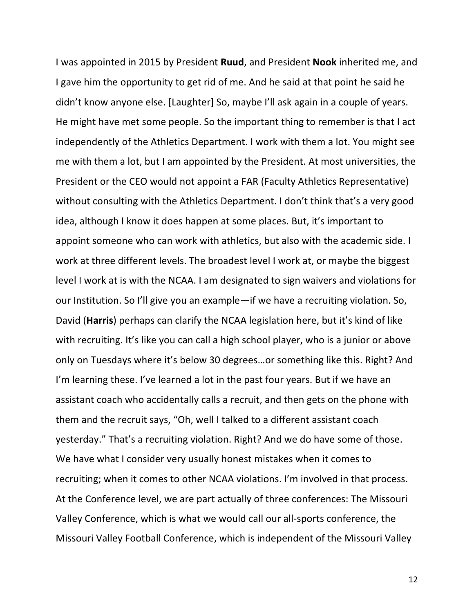I was appointed in 2015 by President **Ruud**, and President **Nook** inherited me, and I gave him the opportunity to get rid of me. And he said at that point he said he didn't know anyone else. [Laughter] So, maybe I'll ask again in a couple of years. He might have met some people. So the important thing to remember is that I act independently of the Athletics Department. I work with them a lot. You might see me with them a lot, but I am appointed by the President. At most universities, the President or the CEO would not appoint a FAR (Faculty Athletics Representative) without consulting with the Athletics Department. I don't think that's a very good idea, although I know it does happen at some places. But, it's important to appoint someone who can work with athletics, but also with the academic side. I work at three different levels. The broadest level I work at, or maybe the biggest level I work at is with the NCAA. I am designated to sign waivers and violations for our Institution. So I'll give you an example—if we have a recruiting violation. So, David (**Harris**) perhaps can clarify the NCAA legislation here, but it's kind of like with recruiting. It's like you can call a high school player, who is a junior or above only on Tuesdays where it's below 30 degrees...or something like this. Right? And I'm learning these. I've learned a lot in the past four years. But if we have an assistant coach who accidentally calls a recruit, and then gets on the phone with them and the recruit says, "Oh, well I talked to a different assistant coach yesterday." That's a recruiting violation. Right? And we do have some of those. We have what I consider very usually honest mistakes when it comes to recruiting; when it comes to other NCAA violations. I'm involved in that process. At the Conference level, we are part actually of three conferences: The Missouri Valley Conference, which is what we would call our all-sports conference, the Missouri Valley Football Conference, which is independent of the Missouri Valley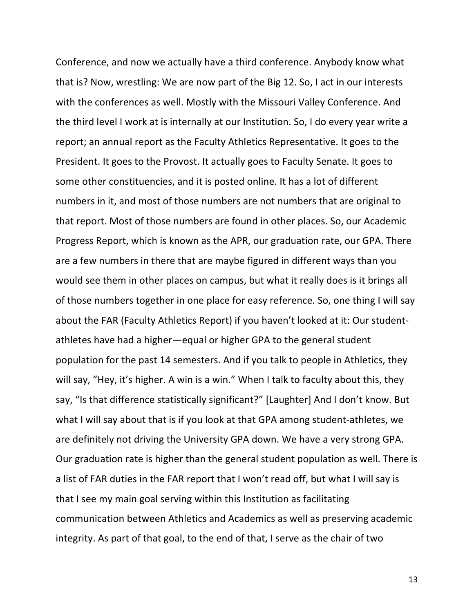Conference, and now we actually have a third conference. Anybody know what that is? Now, wrestling: We are now part of the Big 12. So, I act in our interests with the conferences as well. Mostly with the Missouri Valley Conference. And the third level I work at is internally at our Institution. So, I do every year write a report; an annual report as the Faculty Athletics Representative. It goes to the President. It goes to the Provost. It actually goes to Faculty Senate. It goes to some other constituencies, and it is posted online. It has a lot of different numbers in it, and most of those numbers are not numbers that are original to that report. Most of those numbers are found in other places. So, our Academic Progress Report, which is known as the APR, our graduation rate, our GPA. There are a few numbers in there that are maybe figured in different ways than you would see them in other places on campus, but what it really does is it brings all of those numbers together in one place for easy reference. So, one thing I will say about the FAR (Faculty Athletics Report) if you haven't looked at it: Our studentathletes have had a higher—equal or higher GPA to the general student population for the past 14 semesters. And if you talk to people in Athletics, they will say, "Hey, it's higher. A win is a win." When I talk to faculty about this, they say, "Is that difference statistically significant?" [Laughter] And I don't know. But what I will say about that is if you look at that GPA among student-athletes, we are definitely not driving the University GPA down. We have a very strong GPA. Our graduation rate is higher than the general student population as well. There is a list of FAR duties in the FAR report that I won't read off, but what I will say is that I see my main goal serving within this Institution as facilitating communication between Athletics and Academics as well as preserving academic integrity. As part of that goal, to the end of that, I serve as the chair of two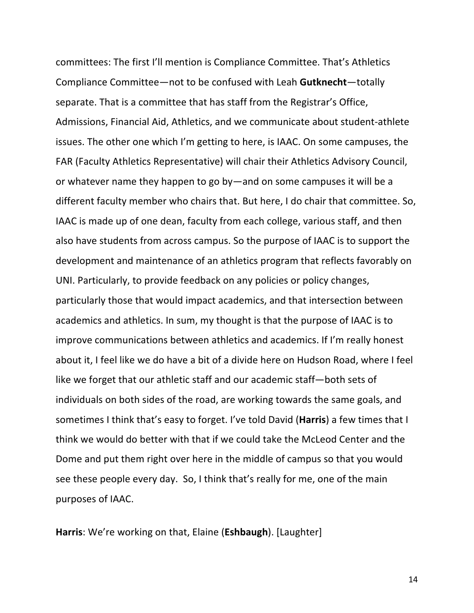committees: The first I'll mention is Compliance Committee. That's Athletics Compliance Committee—not to be confused with Leah Gutknecht-totally separate. That is a committee that has staff from the Registrar's Office, Admissions, Financial Aid, Athletics, and we communicate about student-athlete issues. The other one which I'm getting to here, is IAAC. On some campuses, the FAR (Faculty Athletics Representative) will chair their Athletics Advisory Council, or whatever name they happen to go by—and on some campuses it will be a different faculty member who chairs that. But here, I do chair that committee. So, IAAC is made up of one dean, faculty from each college, various staff, and then also have students from across campus. So the purpose of IAAC is to support the development and maintenance of an athletics program that reflects favorably on UNI. Particularly, to provide feedback on any policies or policy changes, particularly those that would impact academics, and that intersection between academics and athletics. In sum, my thought is that the purpose of IAAC is to improve communications between athletics and academics. If I'm really honest about it, I feel like we do have a bit of a divide here on Hudson Road, where I feel like we forget that our athletic staff and our academic staff-both sets of individuals on both sides of the road, are working towards the same goals, and sometimes I think that's easy to forget. I've told David (**Harris**) a few times that I think we would do better with that if we could take the McLeod Center and the Dome and put them right over here in the middle of campus so that you would see these people every day. So, I think that's really for me, one of the main purposes of IAAC.

**Harris:** We're working on that, Elaine (**Eshbaugh**). [Laughter]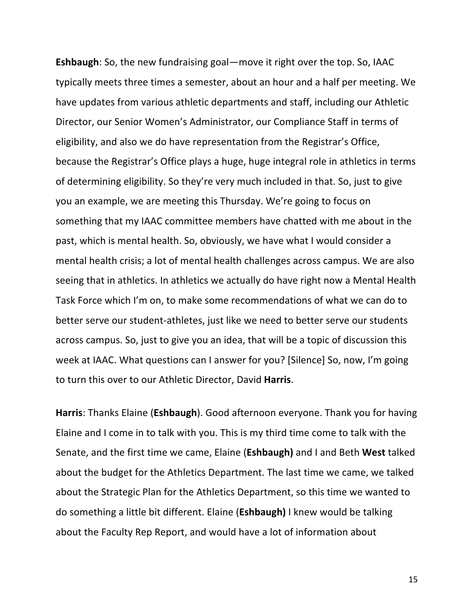**Eshbaugh**: So, the new fundraising goal—move it right over the top. So, IAAC typically meets three times a semester, about an hour and a half per meeting. We have updates from various athletic departments and staff, including our Athletic Director, our Senior Women's Administrator, our Compliance Staff in terms of eligibility, and also we do have representation from the Registrar's Office, because the Registrar's Office plays a huge, huge integral role in athletics in terms of determining eligibility. So they're very much included in that. So, just to give you an example, we are meeting this Thursday. We're going to focus on something that my IAAC committee members have chatted with me about in the past, which is mental health. So, obviously, we have what I would consider a mental health crisis; a lot of mental health challenges across campus. We are also seeing that in athletics. In athletics we actually do have right now a Mental Health Task Force which I'm on, to make some recommendations of what we can do to better serve our student-athletes, just like we need to better serve our students across campus. So, just to give you an idea, that will be a topic of discussion this week at IAAC. What questions can I answer for you? [Silence] So, now, I'm going to turn this over to our Athletic Director, David Harris.

**Harris:** Thanks Elaine (**Eshbaugh**). Good afternoon everyone. Thank you for having Elaine and I come in to talk with you. This is my third time come to talk with the Senate, and the first time we came, Elaine (**Eshbaugh**) and I and Beth **West** talked about the budget for the Athletics Department. The last time we came, we talked about the Strategic Plan for the Athletics Department, so this time we wanted to do something a little bit different. Elaine (Eshbaugh) I knew would be talking about the Faculty Rep Report, and would have a lot of information about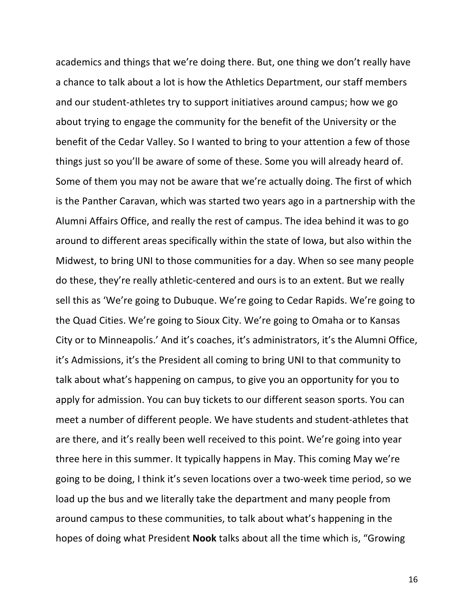academics and things that we're doing there. But, one thing we don't really have a chance to talk about a lot is how the Athletics Department, our staff members and our student-athletes try to support initiatives around campus; how we go about trying to engage the community for the benefit of the University or the benefit of the Cedar Valley. So I wanted to bring to your attention a few of those things just so you'll be aware of some of these. Some you will already heard of. Some of them you may not be aware that we're actually doing. The first of which is the Panther Caravan, which was started two years ago in a partnership with the Alumni Affairs Office, and really the rest of campus. The idea behind it was to go around to different areas specifically within the state of lowa, but also within the Midwest, to bring UNI to those communities for a day. When so see many people do these, they're really athletic-centered and ours is to an extent. But we really sell this as 'We're going to Dubuque. We're going to Cedar Rapids. We're going to the Quad Cities. We're going to Sioux City. We're going to Omaha or to Kansas City or to Minneapolis.' And it's coaches, it's administrators, it's the Alumni Office, it's Admissions, it's the President all coming to bring UNI to that community to talk about what's happening on campus, to give you an opportunity for you to apply for admission. You can buy tickets to our different season sports. You can meet a number of different people. We have students and student-athletes that are there, and it's really been well received to this point. We're going into year three here in this summer. It typically happens in May. This coming May we're going to be doing, I think it's seven locations over a two-week time period, so we load up the bus and we literally take the department and many people from around campus to these communities, to talk about what's happening in the hopes of doing what President **Nook** talks about all the time which is, "Growing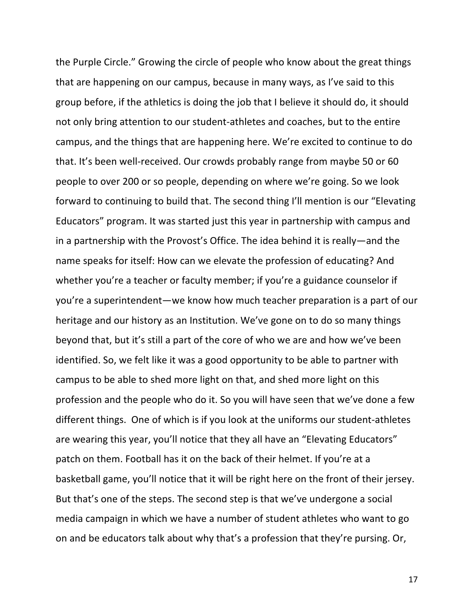the Purple Circle." Growing the circle of people who know about the great things that are happening on our campus, because in many ways, as I've said to this group before, if the athletics is doing the job that I believe it should do, it should not only bring attention to our student-athletes and coaches, but to the entire campus, and the things that are happening here. We're excited to continue to do that. It's been well-received. Our crowds probably range from maybe 50 or 60 people to over 200 or so people, depending on where we're going. So we look forward to continuing to build that. The second thing I'll mention is our "Elevating Educators" program. It was started just this year in partnership with campus and in a partnership with the Provost's Office. The idea behind it is really—and the name speaks for itself: How can we elevate the profession of educating? And whether you're a teacher or faculty member; if you're a guidance counselor if you're a superintendent—we know how much teacher preparation is a part of our heritage and our history as an Institution. We've gone on to do so many things beyond that, but it's still a part of the core of who we are and how we've been identified. So, we felt like it was a good opportunity to be able to partner with campus to be able to shed more light on that, and shed more light on this profession and the people who do it. So you will have seen that we've done a few different things. One of which is if you look at the uniforms our student-athletes are wearing this year, you'll notice that they all have an "Elevating Educators" patch on them. Football has it on the back of their helmet. If you're at a basketball game, you'll notice that it will be right here on the front of their jersey. But that's one of the steps. The second step is that we've undergone a social media campaign in which we have a number of student athletes who want to go on and be educators talk about why that's a profession that they're pursing. Or,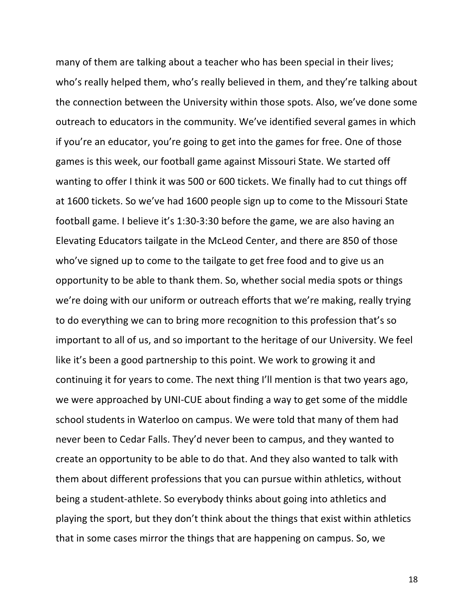many of them are talking about a teacher who has been special in their lives; who's really helped them, who's really believed in them, and they're talking about the connection between the University within those spots. Also, we've done some outreach to educators in the community. We've identified several games in which if you're an educator, you're going to get into the games for free. One of those games is this week, our football game against Missouri State. We started off wanting to offer I think it was 500 or 600 tickets. We finally had to cut things off at 1600 tickets. So we've had 1600 people sign up to come to the Missouri State football game. I believe it's 1:30-3:30 before the game, we are also having an Elevating Educators tailgate in the McLeod Center, and there are 850 of those who've signed up to come to the tailgate to get free food and to give us an opportunity to be able to thank them. So, whether social media spots or things we're doing with our uniform or outreach efforts that we're making, really trying to do everything we can to bring more recognition to this profession that's so important to all of us, and so important to the heritage of our University. We feel like it's been a good partnership to this point. We work to growing it and continuing it for years to come. The next thing I'll mention is that two years ago, we were approached by UNI-CUE about finding a way to get some of the middle school students in Waterloo on campus. We were told that many of them had never been to Cedar Falls. They'd never been to campus, and they wanted to create an opportunity to be able to do that. And they also wanted to talk with them about different professions that you can pursue within athletics, without being a student-athlete. So everybody thinks about going into athletics and playing the sport, but they don't think about the things that exist within athletics that in some cases mirror the things that are happening on campus. So, we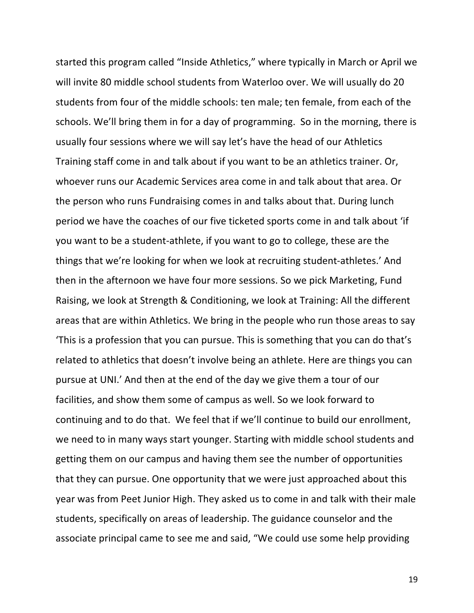started this program called "Inside Athletics," where typically in March or April we will invite 80 middle school students from Waterloo over. We will usually do 20 students from four of the middle schools: ten male; ten female, from each of the schools. We'll bring them in for a day of programming. So in the morning, there is usually four sessions where we will say let's have the head of our Athletics Training staff come in and talk about if you want to be an athletics trainer. Or, whoever runs our Academic Services area come in and talk about that area. Or the person who runs Fundraising comes in and talks about that. During lunch period we have the coaches of our five ticketed sports come in and talk about 'if you want to be a student-athlete, if you want to go to college, these are the things that we're looking for when we look at recruiting student-athletes.' And then in the afternoon we have four more sessions. So we pick Marketing, Fund Raising, we look at Strength & Conditioning, we look at Training: All the different areas that are within Athletics. We bring in the people who run those areas to say 'This is a profession that you can pursue. This is something that you can do that's related to athletics that doesn't involve being an athlete. Here are things you can pursue at UNI.' And then at the end of the day we give them a tour of our facilities, and show them some of campus as well. So we look forward to continuing and to do that. We feel that if we'll continue to build our enrollment, we need to in many ways start younger. Starting with middle school students and getting them on our campus and having them see the number of opportunities that they can pursue. One opportunity that we were just approached about this year was from Peet Junior High. They asked us to come in and talk with their male students, specifically on areas of leadership. The guidance counselor and the associate principal came to see me and said, "We could use some help providing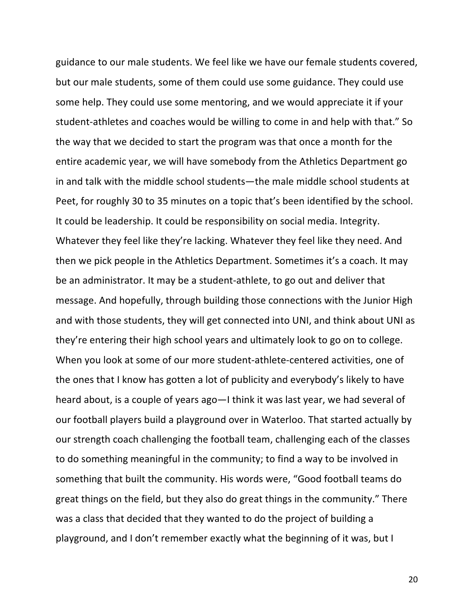guidance to our male students. We feel like we have our female students covered, but our male students, some of them could use some guidance. They could use some help. They could use some mentoring, and we would appreciate it if your student-athletes and coaches would be willing to come in and help with that." So the way that we decided to start the program was that once a month for the entire academic year, we will have somebody from the Athletics Department go in and talk with the middle school students—the male middle school students at Peet, for roughly 30 to 35 minutes on a topic that's been identified by the school. It could be leadership. It could be responsibility on social media. Integrity. Whatever they feel like they're lacking. Whatever they feel like they need. And then we pick people in the Athletics Department. Sometimes it's a coach. It may be an administrator. It may be a student-athlete, to go out and deliver that message. And hopefully, through building those connections with the Junior High and with those students, they will get connected into UNI, and think about UNI as they're entering their high school years and ultimately look to go on to college. When you look at some of our more student-athlete-centered activities, one of the ones that I know has gotten a lot of publicity and everybody's likely to have heard about, is a couple of years ago—I think it was last year, we had several of our football players build a playground over in Waterloo. That started actually by our strength coach challenging the football team, challenging each of the classes to do something meaningful in the community; to find a way to be involved in something that built the community. His words were, "Good football teams do great things on the field, but they also do great things in the community." There was a class that decided that they wanted to do the project of building a playground, and I don't remember exactly what the beginning of it was, but I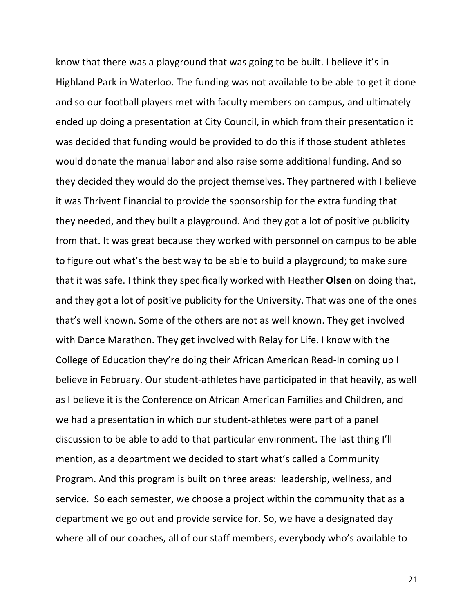know that there was a playground that was going to be built. I believe it's in Highland Park in Waterloo. The funding was not available to be able to get it done and so our football players met with faculty members on campus, and ultimately ended up doing a presentation at City Council, in which from their presentation it was decided that funding would be provided to do this if those student athletes would donate the manual labor and also raise some additional funding. And so they decided they would do the project themselves. They partnered with I believe it was Thrivent Financial to provide the sponsorship for the extra funding that they needed, and they built a playground. And they got a lot of positive publicity from that. It was great because they worked with personnel on campus to be able to figure out what's the best way to be able to build a playground; to make sure that it was safe. I think they specifically worked with Heather **Olsen** on doing that, and they got a lot of positive publicity for the University. That was one of the ones that's well known. Some of the others are not as well known. They get involved with Dance Marathon. They get involved with Relay for Life. I know with the College of Education they're doing their African American Read-In coming up I believe in February. Our student-athletes have participated in that heavily, as well as I believe it is the Conference on African American Families and Children, and we had a presentation in which our student-athletes were part of a panel discussion to be able to add to that particular environment. The last thing I'll mention, as a department we decided to start what's called a Community Program. And this program is built on three areas: leadership, wellness, and service. So each semester, we choose a project within the community that as a department we go out and provide service for. So, we have a designated day where all of our coaches, all of our staff members, everybody who's available to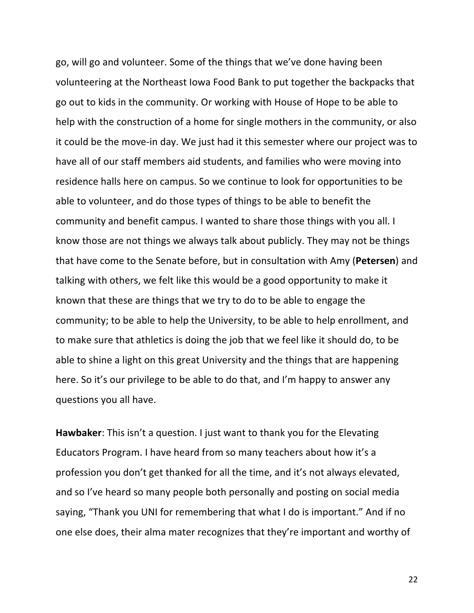go, will go and volunteer. Some of the things that we've done having been volunteering at the Northeast lowa Food Bank to put together the backpacks that go out to kids in the community. Or working with House of Hope to be able to help with the construction of a home for single mothers in the community, or also it could be the move-in day. We just had it this semester where our project was to have all of our staff members aid students, and families who were moving into residence halls here on campus. So we continue to look for opportunities to be able to volunteer, and do those types of things to be able to benefit the community and benefit campus. I wanted to share those things with you all. I know those are not things we always talk about publicly. They may not be things that have come to the Senate before, but in consultation with Amy (Petersen) and talking with others, we felt like this would be a good opportunity to make it known that these are things that we try to do to be able to engage the community; to be able to help the University, to be able to help enrollment, and to make sure that athletics is doing the job that we feel like it should do, to be able to shine a light on this great University and the things that are happening here. So it's our privilege to be able to do that, and I'm happy to answer any questions you all have.

**Hawbaker:** This isn't a question. I just want to thank you for the Elevating Educators Program. I have heard from so many teachers about how it's a profession you don't get thanked for all the time, and it's not always elevated, and so I've heard so many people both personally and posting on social media saying, "Thank you UNI for remembering that what I do is important." And if no one else does, their alma mater recognizes that they're important and worthy of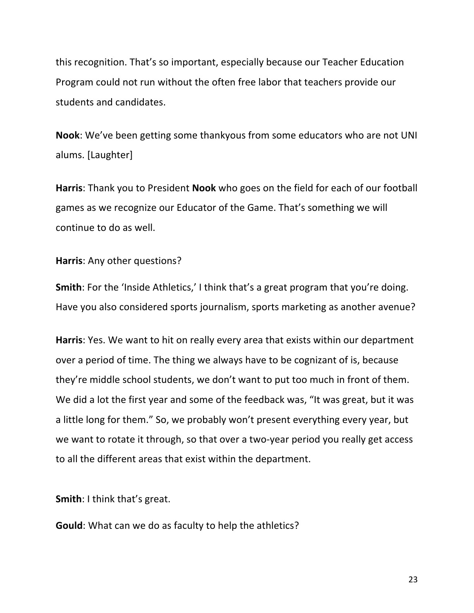this recognition. That's so important, especially because our Teacher Education Program could not run without the often free labor that teachers provide our students and candidates.

**Nook**: We've been getting some thankyous from some educators who are not UNI alums. [Laughter]

**Harris:** Thank you to President **Nook** who goes on the field for each of our football games as we recognize our Educator of the Game. That's something we will continue to do as well.

**Harris:** Any other questions?

**Smith**: For the 'Inside Athletics,' I think that's a great program that you're doing. Have you also considered sports journalism, sports marketing as another avenue?

**Harris**: Yes. We want to hit on really every area that exists within our department over a period of time. The thing we always have to be cognizant of is, because they're middle school students, we don't want to put too much in front of them. We did a lot the first year and some of the feedback was, "It was great, but it was a little long for them." So, we probably won't present everything every year, but we want to rotate it through, so that over a two-year period you really get access to all the different areas that exist within the department.

**Smith:** I think that's great.

**Gould:** What can we do as faculty to help the athletics?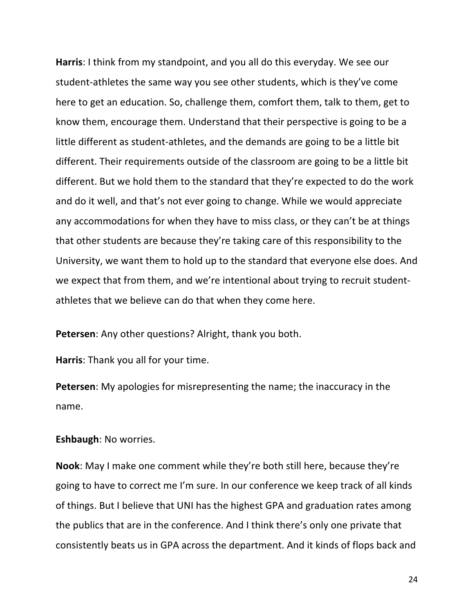**Harris**: I think from my standpoint, and you all do this everyday. We see our student-athletes the same way you see other students, which is they've come here to get an education. So, challenge them, comfort them, talk to them, get to know them, encourage them. Understand that their perspective is going to be a little different as student-athletes, and the demands are going to be a little bit different. Their requirements outside of the classroom are going to be a little bit different. But we hold them to the standard that they're expected to do the work and do it well, and that's not ever going to change. While we would appreciate any accommodations for when they have to miss class, or they can't be at things that other students are because they're taking care of this responsibility to the University, we want them to hold up to the standard that everyone else does. And we expect that from them, and we're intentional about trying to recruit studentathletes that we believe can do that when they come here.

**Petersen:** Any other questions? Alright, thank you both.

**Harris:** Thank you all for your time.

**Petersen:** My apologies for misrepresenting the name; the inaccuracy in the name.

#### **Eshbaugh:** No worries.

**Nook:** May I make one comment while they're both still here, because they're going to have to correct me I'm sure. In our conference we keep track of all kinds of things. But I believe that UNI has the highest GPA and graduation rates among the publics that are in the conference. And I think there's only one private that consistently beats us in GPA across the department. And it kinds of flops back and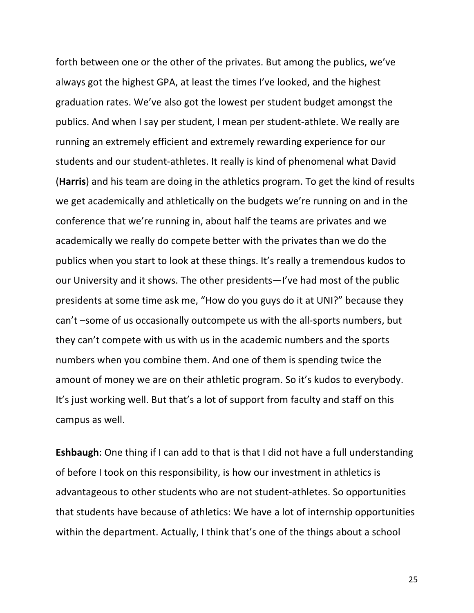forth between one or the other of the privates. But among the publics, we've always got the highest GPA, at least the times I've looked, and the highest graduation rates. We've also got the lowest per student budget amongst the publics. And when I say per student, I mean per student-athlete. We really are running an extremely efficient and extremely rewarding experience for our students and our student-athletes. It really is kind of phenomenal what David **(Harris)** and his team are doing in the athletics program. To get the kind of results we get academically and athletically on the budgets we're running on and in the conference that we're running in, about half the teams are privates and we academically we really do compete better with the privates than we do the publics when you start to look at these things. It's really a tremendous kudos to our University and it shows. The other presidents—I've had most of the public presidents at some time ask me, "How do you guys do it at UNI?" because they can't -some of us occasionally outcompete us with the all-sports numbers, but they can't compete with us with us in the academic numbers and the sports numbers when you combine them. And one of them is spending twice the amount of money we are on their athletic program. So it's kudos to everybody. It's just working well. But that's a lot of support from faculty and staff on this campus as well.

**Eshbaugh**: One thing if I can add to that is that I did not have a full understanding of before I took on this responsibility, is how our investment in athletics is advantageous to other students who are not student-athletes. So opportunities that students have because of athletics: We have a lot of internship opportunities within the department. Actually, I think that's one of the things about a school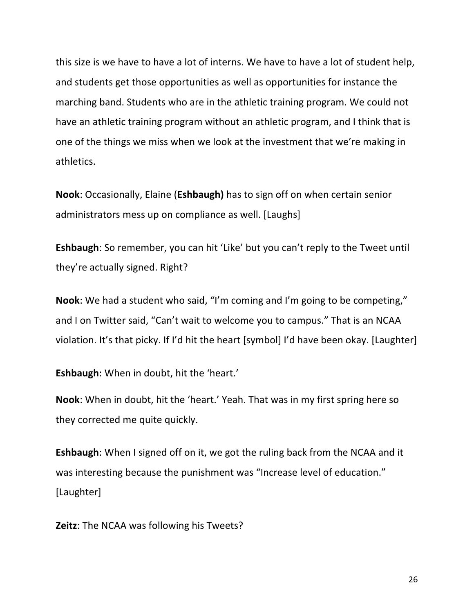this size is we have to have a lot of interns. We have to have a lot of student help, and students get those opportunities as well as opportunities for instance the marching band. Students who are in the athletic training program. We could not have an athletic training program without an athletic program, and I think that is one of the things we miss when we look at the investment that we're making in athletics.

**Nook:** Occasionally, Elaine (**Eshbaugh**) has to sign off on when certain senior administrators mess up on compliance as well. [Laughs]

**Eshbaugh**: So remember, you can hit 'Like' but you can't reply to the Tweet until they're actually signed. Right?

**Nook**: We had a student who said, "I'm coming and I'm going to be competing," and I on Twitter said, "Can't wait to welcome you to campus." That is an NCAA violation. It's that picky. If I'd hit the heart [symbol] I'd have been okay. [Laughter]

**Eshbaugh:** When in doubt, hit the 'heart.'

**Nook:** When in doubt, hit the 'heart.' Yeah. That was in my first spring here so they corrected me quite quickly.

**Eshbaugh**: When I signed off on it, we got the ruling back from the NCAA and it was interesting because the punishment was "Increase level of education." [Laughter] 

**Zeitz**: The NCAA was following his Tweets?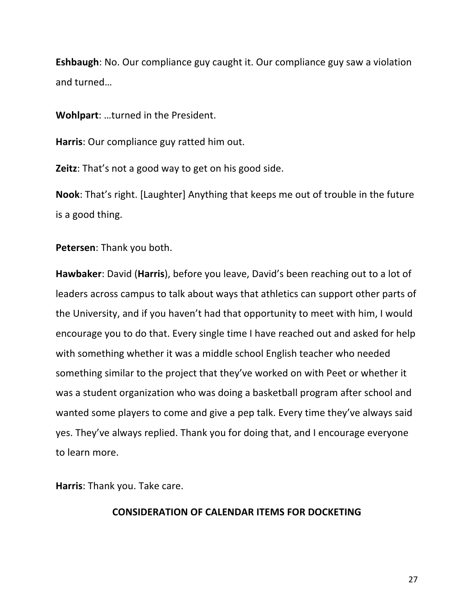**Eshbaugh**: No. Our compliance guy caught it. Our compliance guy saw a violation and turned...

**Wohlpart:** ...turned in the President.

**Harris**: Our compliance guy ratted him out.

**Zeitz**: That's not a good way to get on his good side.

**Nook**: That's right. [Laughter] Anything that keeps me out of trouble in the future is a good thing.

**Petersen:** Thank you both.

**Hawbaker:** David (**Harris**), before you leave, David's been reaching out to a lot of leaders across campus to talk about ways that athletics can support other parts of the University, and if you haven't had that opportunity to meet with him, I would encourage you to do that. Every single time I have reached out and asked for help with something whether it was a middle school English teacher who needed something similar to the project that they've worked on with Peet or whether it was a student organization who was doing a basketball program after school and wanted some players to come and give a pep talk. Every time they've always said yes. They've always replied. Thank you for doing that, and I encourage everyone to learn more.

**Harris:** Thank you. Take care.

## **CONSIDERATION OF CALENDAR ITEMS FOR DOCKETING**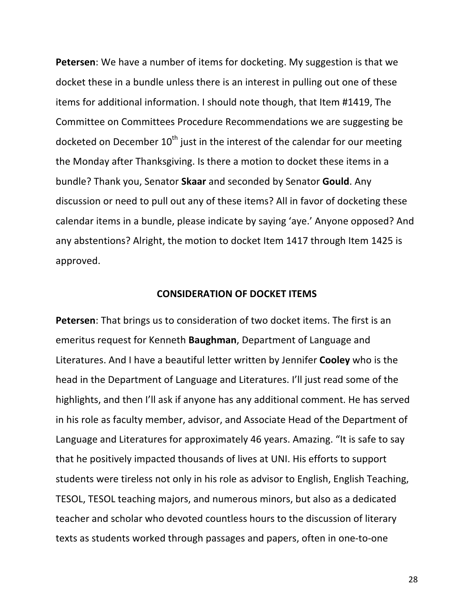**Petersen**: We have a number of items for docketing. My suggestion is that we docket these in a bundle unless there is an interest in pulling out one of these items for additional information. I should note though, that Item #1419, The Committee on Committees Procedure Recommendations we are suggesting be docketed on December  $10<sup>th</sup>$  just in the interest of the calendar for our meeting the Monday after Thanksgiving. Is there a motion to docket these items in a bundle? Thank you, Senator **Skaar** and seconded by Senator **Gould**. Any discussion or need to pull out any of these items? All in favor of docketing these calendar items in a bundle, please indicate by saying 'aye.' Anyone opposed? And any abstentions? Alright, the motion to docket Item 1417 through Item 1425 is approved.

#### **CONSIDERATION OF DOCKET ITEMS**

**Petersen:** That brings us to consideration of two docket items. The first is an emeritus request for Kenneth **Baughman**, Department of Language and Literatures. And I have a beautiful letter written by Jennifer **Cooley** who is the head in the Department of Language and Literatures. I'll just read some of the highlights, and then I'll ask if anyone has any additional comment. He has served in his role as faculty member, advisor, and Associate Head of the Department of Language and Literatures for approximately 46 years. Amazing. "It is safe to say that he positively impacted thousands of lives at UNI. His efforts to support students were tireless not only in his role as advisor to English, English Teaching, TESOL, TESOL teaching majors, and numerous minors, but also as a dedicated teacher and scholar who devoted countless hours to the discussion of literary texts as students worked through passages and papers, often in one-to-one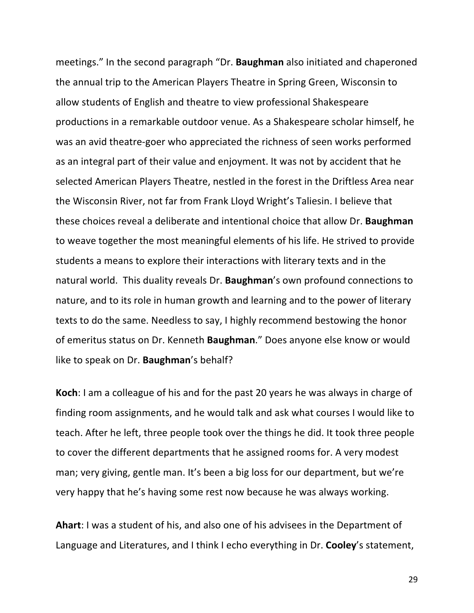meetings." In the second paragraph "Dr. **Baughman** also initiated and chaperoned the annual trip to the American Players Theatre in Spring Green, Wisconsin to allow students of English and theatre to view professional Shakespeare productions in a remarkable outdoor venue. As a Shakespeare scholar himself, he was an avid theatre-goer who appreciated the richness of seen works performed as an integral part of their value and enjoyment. It was not by accident that he selected American Players Theatre, nestled in the forest in the Driftless Area near the Wisconsin River, not far from Frank Lloyd Wright's Taliesin. I believe that these choices reveal a deliberate and intentional choice that allow Dr. **Baughman** to weave together the most meaningful elements of his life. He strived to provide students a means to explore their interactions with literary texts and in the natural world. This duality reveals Dr. **Baughman**'s own profound connections to nature, and to its role in human growth and learning and to the power of literary texts to do the same. Needless to say, I highly recommend bestowing the honor of emeritus status on Dr. Kenneth **Baughman**." Does anyone else know or would like to speak on Dr. **Baughman's** behalf?

**Koch**: I am a colleague of his and for the past 20 years he was always in charge of finding room assignments, and he would talk and ask what courses I would like to teach. After he left, three people took over the things he did. It took three people to cover the different departments that he assigned rooms for. A very modest man; very giving, gentle man. It's been a big loss for our department, but we're very happy that he's having some rest now because he was always working.

**Ahart**: I was a student of his, and also one of his advisees in the Department of Language and Literatures, and I think I echo everything in Dr. **Cooley's** statement,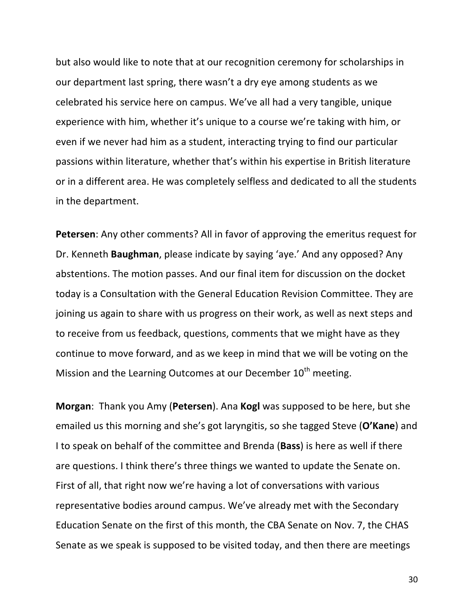but also would like to note that at our recognition ceremony for scholarships in our department last spring, there wasn't a dry eye among students as we celebrated his service here on campus. We've all had a very tangible, unique experience with him, whether it's unique to a course we're taking with him, or even if we never had him as a student, interacting trying to find our particular passions within literature, whether that's within his expertise in British literature or in a different area. He was completely selfless and dedicated to all the students in the department.

**Petersen:** Any other comments? All in favor of approving the emeritus request for Dr. Kenneth **Baughman**, please indicate by saying 'aye.' And any opposed? Any abstentions. The motion passes. And our final item for discussion on the docket today is a Consultation with the General Education Revision Committee. They are joining us again to share with us progress on their work, as well as next steps and to receive from us feedback, questions, comments that we might have as they continue to move forward, and as we keep in mind that we will be voting on the Mission and the Learning Outcomes at our December  $10<sup>th</sup>$  meeting.

**Morgan**: Thank you Amy (**Petersen**). Ana **Kogl** was supposed to be here, but she emailed us this morning and she's got laryngitis, so she tagged Steve (O'Kane) and I to speak on behalf of the committee and Brenda (**Bass**) is here as well if there are questions. I think there's three things we wanted to update the Senate on. First of all, that right now we're having a lot of conversations with various representative bodies around campus. We've already met with the Secondary Education Senate on the first of this month, the CBA Senate on Nov. 7, the CHAS Senate as we speak is supposed to be visited today, and then there are meetings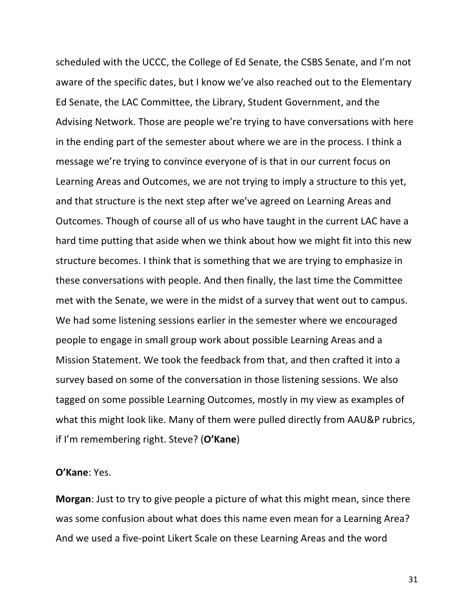scheduled with the UCCC, the College of Ed Senate, the CSBS Senate, and I'm not aware of the specific dates, but I know we've also reached out to the Elementary Ed Senate, the LAC Committee, the Library, Student Government, and the Advising Network. Those are people we're trying to have conversations with here in the ending part of the semester about where we are in the process. I think a message we're trying to convince everyone of is that in our current focus on Learning Areas and Outcomes, we are not trying to imply a structure to this yet, and that structure is the next step after we've agreed on Learning Areas and Outcomes. Though of course all of us who have taught in the current LAC have a hard time putting that aside when we think about how we might fit into this new structure becomes. I think that is something that we are trying to emphasize in these conversations with people. And then finally, the last time the Committee met with the Senate, we were in the midst of a survey that went out to campus. We had some listening sessions earlier in the semester where we encouraged people to engage in small group work about possible Learning Areas and a Mission Statement. We took the feedback from that, and then crafted it into a survey based on some of the conversation in those listening sessions. We also tagged on some possible Learning Outcomes, mostly in my view as examples of what this might look like. Many of them were pulled directly from AAU&P rubrics, if I'm remembering right. Steve? (O'Kane)

#### **O'Kane**: Yes.

**Morgan**: Just to try to give people a picture of what this might mean, since there was some confusion about what does this name even mean for a Learning Area? And we used a five-point Likert Scale on these Learning Areas and the word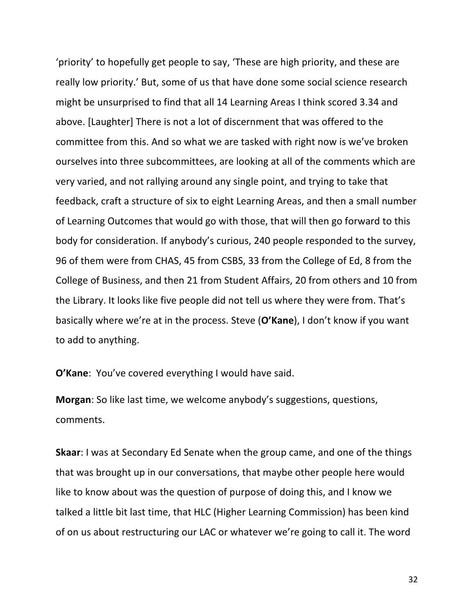'priority' to hopefully get people to say, 'These are high priority, and these are really low priority.' But, some of us that have done some social science research might be unsurprised to find that all 14 Learning Areas I think scored 3.34 and above. [Laughter] There is not a lot of discernment that was offered to the committee from this. And so what we are tasked with right now is we've broken ourselves into three subcommittees, are looking at all of the comments which are very varied, and not rallying around any single point, and trying to take that feedback, craft a structure of six to eight Learning Areas, and then a small number of Learning Outcomes that would go with those, that will then go forward to this body for consideration. If anybody's curious, 240 people responded to the survey, 96 of them were from CHAS, 45 from CSBS, 33 from the College of Ed, 8 from the College of Business, and then 21 from Student Affairs, 20 from others and 10 from the Library. It looks like five people did not tell us where they were from. That's basically where we're at in the process. Steve (O'Kane), I don't know if you want to add to anything.

**O'Kane:** You've covered everything I would have said.

**Morgan**: So like last time, we welcome anybody's suggestions, questions, comments.

**Skaar:** I was at Secondary Ed Senate when the group came, and one of the things that was brought up in our conversations, that maybe other people here would like to know about was the question of purpose of doing this, and I know we talked a little bit last time, that HLC (Higher Learning Commission) has been kind of on us about restructuring our LAC or whatever we're going to call it. The word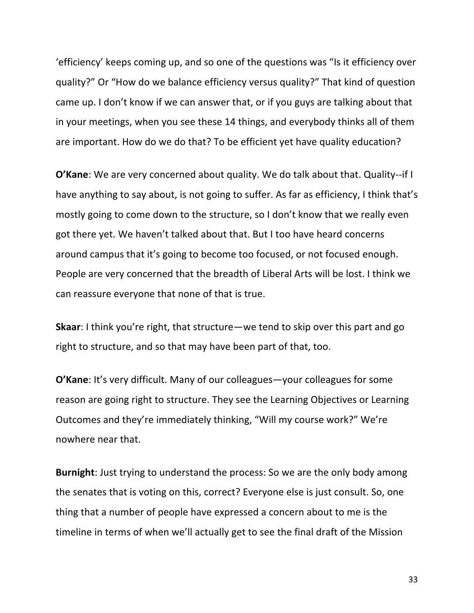'efficiency' keeps coming up, and so one of the questions was "Is it efficiency over quality?" Or "How do we balance efficiency versus quality?" That kind of question came up. I don't know if we can answer that, or if you guys are talking about that in your meetings, when you see these 14 things, and everybody thinks all of them are important. How do we do that? To be efficient yet have quality education?

**O'Kane**: We are very concerned about quality. We do talk about that. Quality--if I have anything to say about, is not going to suffer. As far as efficiency, I think that's mostly going to come down to the structure, so I don't know that we really even got there yet. We haven't talked about that. But I too have heard concerns around campus that it's going to become too focused, or not focused enough. People are very concerned that the breadth of Liberal Arts will be lost. I think we can reassure everyone that none of that is true.

**Skaar:** I think you're right, that structure—we tend to skip over this part and go right to structure, and so that may have been part of that, too.

**O'Kane:** It's very difficult. Many of our colleagues—your colleagues for some reason are going right to structure. They see the Learning Objectives or Learning Outcomes and they're immediately thinking, "Will my course work?" We're nowhere near that.

**Burnight**: Just trying to understand the process: So we are the only body among the senates that is voting on this, correct? Everyone else is just consult. So, one thing that a number of people have expressed a concern about to me is the timeline in terms of when we'll actually get to see the final draft of the Mission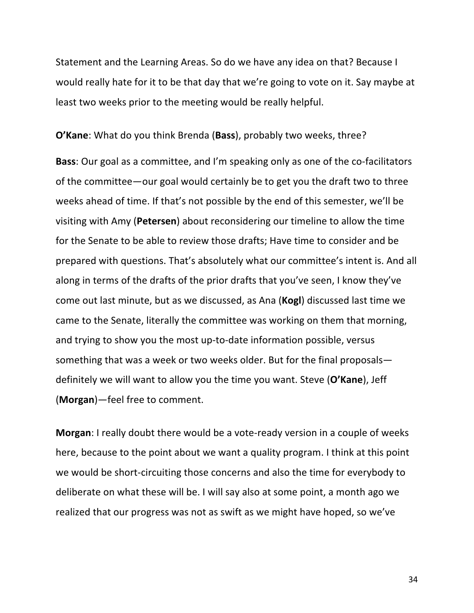Statement and the Learning Areas. So do we have any idea on that? Because I would really hate for it to be that day that we're going to vote on it. Say maybe at least two weeks prior to the meeting would be really helpful.

**O'Kane:** What do you think Brenda (Bass), probably two weeks, three?

**Bass**: Our goal as a committee, and I'm speaking only as one of the co-facilitators of the committee—our goal would certainly be to get you the draft two to three weeks ahead of time. If that's not possible by the end of this semester, we'll be visiting with Amy (**Petersen**) about reconsidering our timeline to allow the time for the Senate to be able to review those drafts; Have time to consider and be prepared with questions. That's absolutely what our committee's intent is. And all along in terms of the drafts of the prior drafts that you've seen, I know they've come out last minute, but as we discussed, as Ana (**Kogl**) discussed last time we came to the Senate, literally the committee was working on them that morning, and trying to show you the most up-to-date information possible, versus something that was a week or two weeks older. But for the final proposals definitely we will want to allow you the time you want. Steve (O'Kane), Jeff (**Morgan**)-feel free to comment.

**Morgan**: I really doubt there would be a vote-ready version in a couple of weeks here, because to the point about we want a quality program. I think at this point we would be short-circuiting those concerns and also the time for everybody to deliberate on what these will be. I will say also at some point, a month ago we realized that our progress was not as swift as we might have hoped, so we've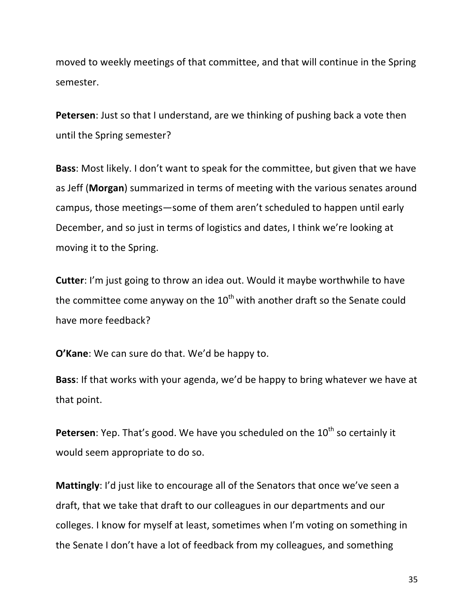moved to weekly meetings of that committee, and that will continue in the Spring semester.

**Petersen**: Just so that I understand, are we thinking of pushing back a vote then until the Spring semester?

**Bass**: Most likely. I don't want to speak for the committee, but given that we have as Jeff (Morgan) summarized in terms of meeting with the various senates around campus, those meetings—some of them aren't scheduled to happen until early December, and so just in terms of logistics and dates, I think we're looking at moving it to the Spring.

**Cutter:** I'm just going to throw an idea out. Would it maybe worthwhile to have the committee come anyway on the  $10^{th}$  with another draft so the Senate could have more feedback?

**O'Kane:** We can sure do that. We'd be happy to.

**Bass**: If that works with your agenda, we'd be happy to bring whatever we have at that point.

**Petersen:** Yep. That's good. We have you scheduled on the 10<sup>th</sup> so certainly it would seem appropriate to do so.

**Mattingly**: I'd just like to encourage all of the Senators that once we've seen a draft, that we take that draft to our colleagues in our departments and our colleges. I know for myself at least, sometimes when I'm voting on something in the Senate I don't have a lot of feedback from my colleagues, and something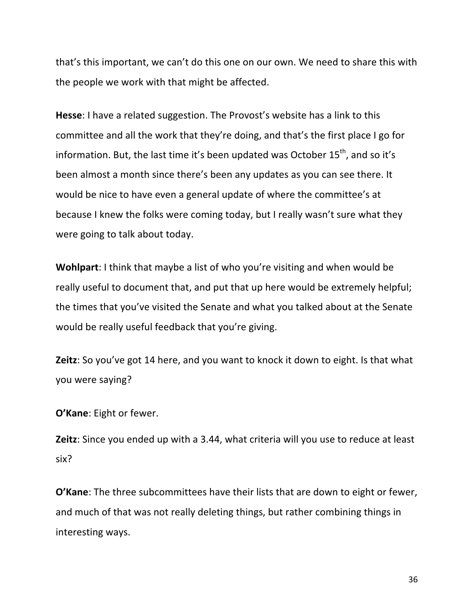that's this important, we can't do this one on our own. We need to share this with the people we work with that might be affected.

Hesse: I have a related suggestion. The Provost's website has a link to this committee and all the work that they're doing, and that's the first place I go for information. But, the last time it's been updated was October  $15<sup>th</sup>$ , and so it's been almost a month since there's been any updates as you can see there. It would be nice to have even a general update of where the committee's at because I knew the folks were coming today, but I really wasn't sure what they were going to talk about today.

**Wohlpart**: I think that maybe a list of who you're visiting and when would be really useful to document that, and put that up here would be extremely helpful; the times that you've visited the Senate and what you talked about at the Senate would be really useful feedback that you're giving.

**Zeitz**: So you've got 14 here, and you want to knock it down to eight. Is that what you were saying?

**O'Kane:** Eight or fewer.

**Zeitz**: Since you ended up with a 3.44, what criteria will you use to reduce at least six? 

**O'Kane**: The three subcommittees have their lists that are down to eight or fewer, and much of that was not really deleting things, but rather combining things in interesting ways.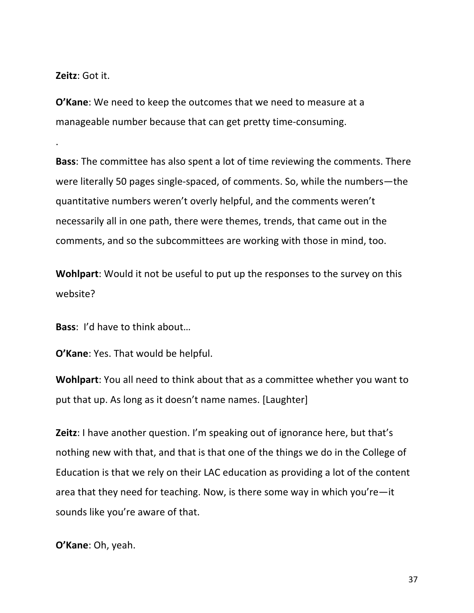**Zeitz**: Got it.

.

**O'Kane:** We need to keep the outcomes that we need to measure at a manageable number because that can get pretty time-consuming.

**Bass**: The committee has also spent a lot of time reviewing the comments. There were literally 50 pages single-spaced, of comments. So, while the numbers—the quantitative numbers weren't overly helpful, and the comments weren't necessarily all in one path, there were themes, trends, that came out in the comments, and so the subcommittees are working with those in mind, too.

**Wohlpart:** Would it not be useful to put up the responses to the survey on this website? 

**Bass:** I'd have to think about...

**O'Kane:** Yes. That would be helpful.

**Wohlpart:** You all need to think about that as a committee whether you want to put that up. As long as it doesn't name names. [Laughter]

**Zeitz**: I have another question. I'm speaking out of ignorance here, but that's nothing new with that, and that is that one of the things we do in the College of Education is that we rely on their LAC education as providing a lot of the content area that they need for teaching. Now, is there some way in which you're—it sounds like you're aware of that.

**O'Kane:** Oh, yeah.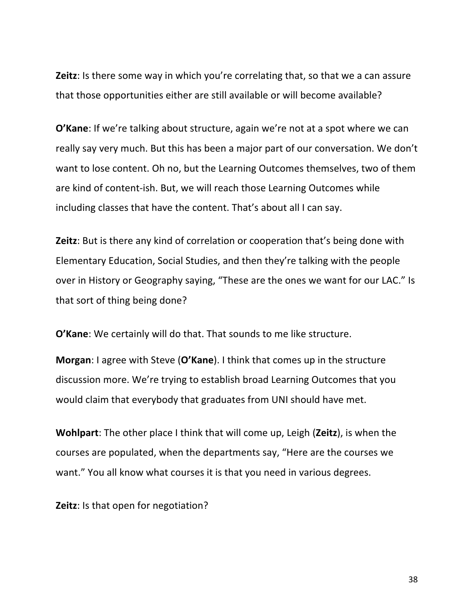**Zeitz**: Is there some way in which you're correlating that, so that we a can assure that those opportunities either are still available or will become available?

**O'Kane**: If we're talking about structure, again we're not at a spot where we can really say very much. But this has been a major part of our conversation. We don't want to lose content. Oh no, but the Learning Outcomes themselves, two of them are kind of content-ish. But, we will reach those Learning Outcomes while including classes that have the content. That's about all I can say.

**Zeitz**: But is there any kind of correlation or cooperation that's being done with Elementary Education, Social Studies, and then they're talking with the people over in History or Geography saying, "These are the ones we want for our LAC." Is that sort of thing being done?

**O'Kane:** We certainly will do that. That sounds to me like structure.

**Morgan:** I agree with Steve (O'Kane). I think that comes up in the structure discussion more. We're trying to establish broad Learning Outcomes that you would claim that everybody that graduates from UNI should have met.

**Wohlpart**: The other place I think that will come up, Leigh (Zeitz), is when the courses are populated, when the departments say, "Here are the courses we want." You all know what courses it is that you need in various degrees.

**Zeitz**: Is that open for negotiation?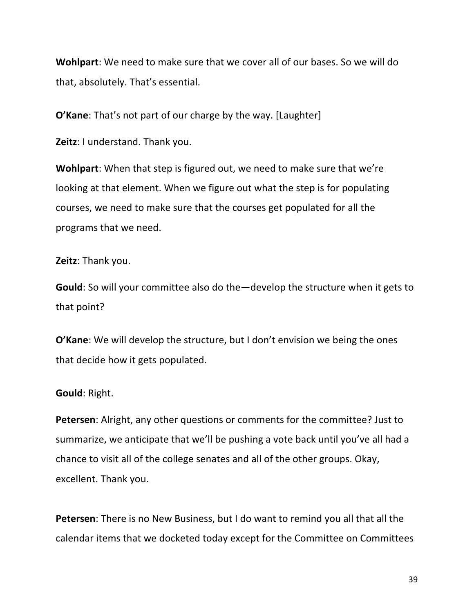**Wohlpart**: We need to make sure that we cover all of our bases. So we will do that, absolutely. That's essential.

**O'Kane**: That's not part of our charge by the way. [Laughter]

**Zeitz**: I understand. Thank you.

**Wohlpart:** When that step is figured out, we need to make sure that we're looking at that element. When we figure out what the step is for populating courses, we need to make sure that the courses get populated for all the programs that we need.

**Zeitz: Thank you.** 

**Gould**: So will your committee also do the—develop the structure when it gets to that point?

**O'Kane:** We will develop the structure, but I don't envision we being the ones that decide how it gets populated.

#### **Gould**: Right.

**Petersen**: Alright, any other questions or comments for the committee? Just to summarize, we anticipate that we'll be pushing a vote back until you've all had a chance to visit all of the college senates and all of the other groups. Okay, excellent. Thank you.

**Petersen**: There is no New Business, but I do want to remind you all that all the calendar items that we docketed today except for the Committee on Committees